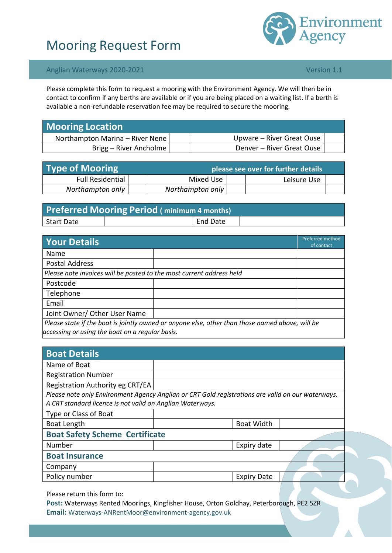# Mooring Request Form



### Anglian Waterways 2020-2021 **Version 1.1** Anglian Waterways 2020-2021

Please complete this form to request a mooring with the Environment Agency. We will then be in contact to confirm if any berths are available or if you are being placed on a waiting list. If a berth is available a non-refundable reservation fee may be required to secure the mooring.

| <b>Mooring Location</b>         |                           |  |
|---------------------------------|---------------------------|--|
| Northampton Marina - River Nene | Upware – River Great Ouse |  |
| Brigg – River Ancholme          | Denver – River Great Ouse |  |

| <b>Type of Mooring</b>  | please see over for further details but alseed to the post of the set of the set of the set of the set of the s |  |             |  |  |
|-------------------------|-----------------------------------------------------------------------------------------------------------------|--|-------------|--|--|
| <b>Full Residential</b> | Mixed Use                                                                                                       |  | Leisure Use |  |  |
| Northampton only        | Northampton only                                                                                                |  |             |  |  |

| <b>Preferred Mooring Period (minimum 4 months)</b> |  |          |  |  |  |
|----------------------------------------------------|--|----------|--|--|--|
| <b>Start Date</b>                                  |  | End Date |  |  |  |

| <b>Your Details</b>                                                  | Preferred method<br>of contact                                                                  |  |
|----------------------------------------------------------------------|-------------------------------------------------------------------------------------------------|--|
| Name                                                                 |                                                                                                 |  |
| Postal Address                                                       |                                                                                                 |  |
| Please note invoices will be posted to the most current address held |                                                                                                 |  |
| Postcode                                                             |                                                                                                 |  |
| Telephone                                                            |                                                                                                 |  |
| Email                                                                |                                                                                                 |  |
| Joint Owner/ Other User Name                                         |                                                                                                 |  |
| accessing or using the boat on a regular basis.                      | Please state if the boat is jointly owned or anyone else, other than those named above, will be |  |

| <b>Boat Details</b>                                       |                                                                                                   |  |  |  |
|-----------------------------------------------------------|---------------------------------------------------------------------------------------------------|--|--|--|
| Name of Boat                                              |                                                                                                   |  |  |  |
| <b>Registration Number</b>                                |                                                                                                   |  |  |  |
| Registration Authority eg CRT/EA                          |                                                                                                   |  |  |  |
|                                                           | Please note only Environment Agency Anglian or CRT Gold registrations are valid on our waterways. |  |  |  |
| A CRT standard licence is not valid on Anglian Waterways. |                                                                                                   |  |  |  |
| Type or Class of Boat                                     |                                                                                                   |  |  |  |
| Boat Length                                               | <b>Boat Width</b>                                                                                 |  |  |  |
| <b>Boat Safety Scheme Certificate</b>                     |                                                                                                   |  |  |  |
| Number                                                    | Expiry date                                                                                       |  |  |  |
| <b>Boat Insurance</b>                                     |                                                                                                   |  |  |  |
| Company                                                   |                                                                                                   |  |  |  |
| Policy number                                             | <b>Expiry Date</b>                                                                                |  |  |  |
|                                                           |                                                                                                   |  |  |  |

Please return this form to:

Post: Waterways Rented Moorings, Kingfisher House, Orton Goldhay, Peterborough, PE2 5ZR **Email:** [Waterways-ANRentMoor@environment-agency.gov.uk](mailto:Waterways-ANRentMoor@environment-agency.gov.uk)